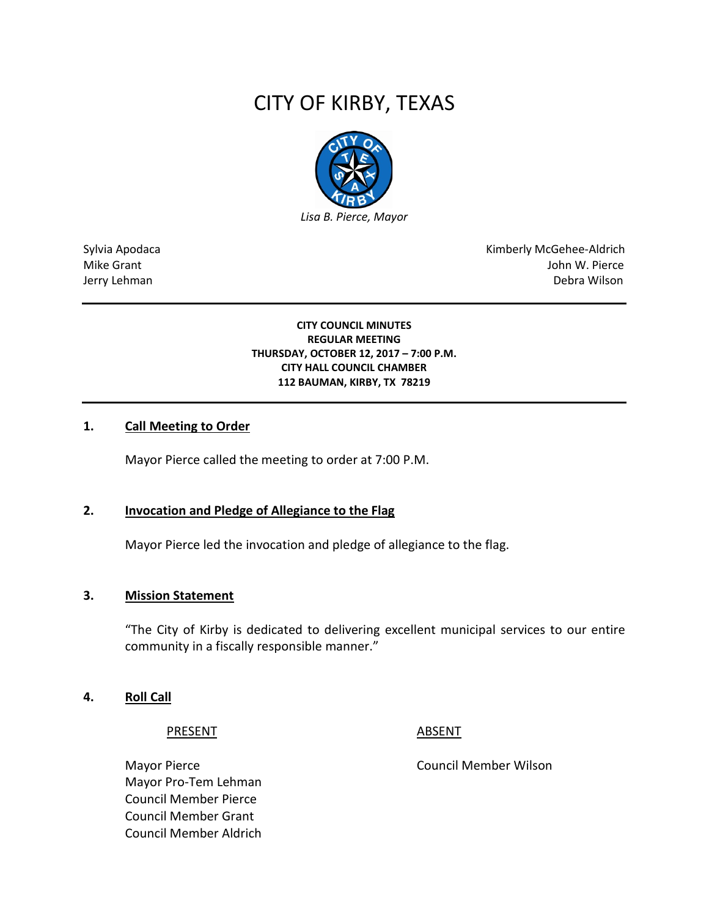# CITY OF KIRBY, TEXAS



Sylvia Apodaca **Kimberly McGehee-Aldrich** Mike Grant John W. Pierce Jerry Lehman Debra Wilson

> **CITY COUNCIL MINUTES REGULAR MEETING THURSDAY, OCTOBER 12, 2017 – 7:00 P.M. CITY HALL COUNCIL CHAMBER 112 BAUMAN, KIRBY, TX 78219**

#### **1. Call Meeting to Order**

Mayor Pierce called the meeting to order at 7:00 P.M.

# **2. Invocation and Pledge of Allegiance to the Flag**

Mayor Pierce led the invocation and pledge of allegiance to the flag.

#### **3. Mission Statement**

"The City of Kirby is dedicated to delivering excellent municipal services to our entire community in a fiscally responsible manner."

#### **4. Roll Call**

PRESENT ABSENT

Mayor Pierce **Council Member Wilson** Mayor Pro-Tem Lehman Council Member Pierce Council Member Grant Council Member Aldrich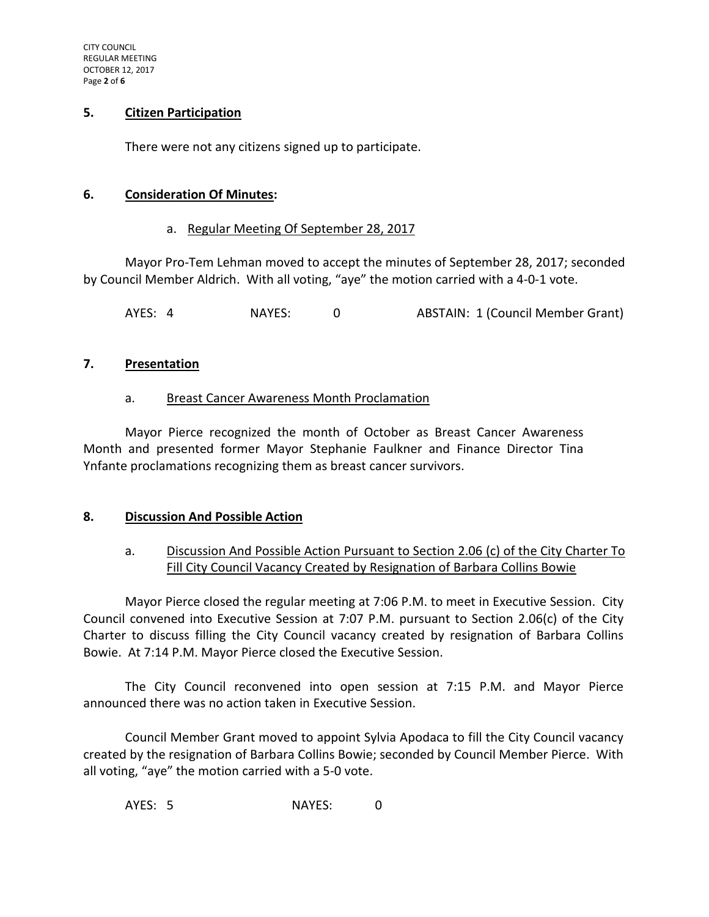# **5. Citizen Participation**

There were not any citizens signed up to participate.

# **6. Consideration Of Minutes:**

# a. Regular Meeting Of September 28, 2017

Mayor Pro-Tem Lehman moved to accept the minutes of September 28, 2017; seconded by Council Member Aldrich. With all voting, "aye" the motion carried with a 4-0-1 vote.

AYES: 4 NAYES: 0 ABSTAIN: 1 (Council Member Grant)

#### **7. Presentation**

#### a. Breast Cancer Awareness Month Proclamation

Mayor Pierce recognized the month of October as Breast Cancer Awareness Month and presented former Mayor Stephanie Faulkner and Finance Director Tina Ynfante proclamations recognizing them as breast cancer survivors.

# **8. Discussion And Possible Action**

# a. Discussion And Possible Action Pursuant to Section 2.06 (c) of the City Charter To Fill City Council Vacancy Created by Resignation of Barbara Collins Bowie

Mayor Pierce closed the regular meeting at 7:06 P.M. to meet in Executive Session. City Council convened into Executive Session at 7:07 P.M. pursuant to Section 2.06(c) of the City Charter to discuss filling the City Council vacancy created by resignation of Barbara Collins Bowie. At 7:14 P.M. Mayor Pierce closed the Executive Session.

The City Council reconvened into open session at 7:15 P.M. and Mayor Pierce announced there was no action taken in Executive Session.

Council Member Grant moved to appoint Sylvia Apodaca to fill the City Council vacancy created by the resignation of Barbara Collins Bowie; seconded by Council Member Pierce. With all voting, "aye" the motion carried with a 5-0 vote.

AYES: 5 NAYES: 0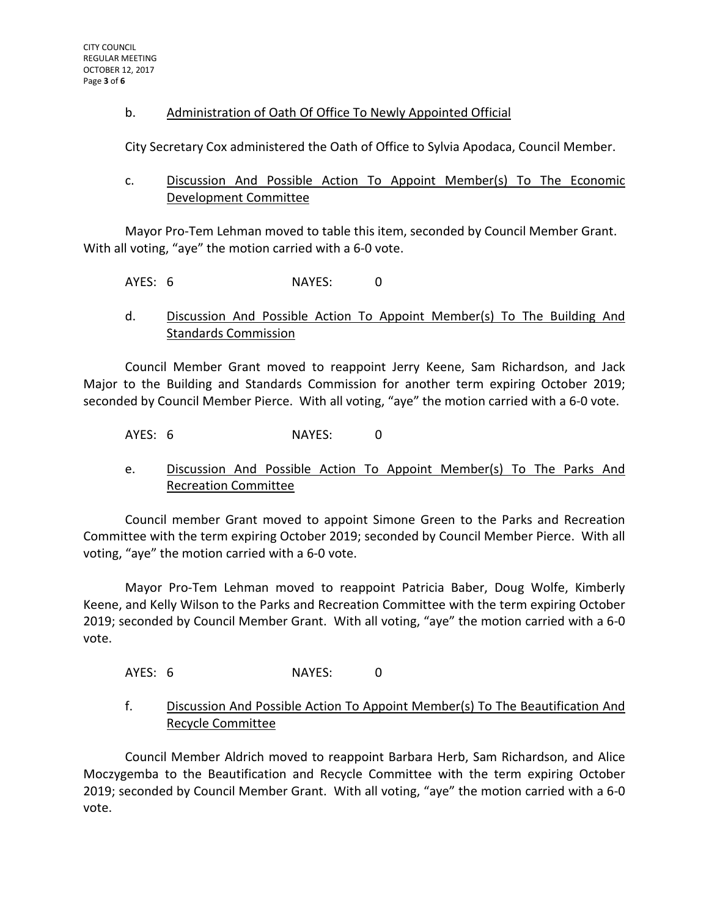# b. Administration of Oath Of Office To Newly Appointed Official

City Secretary Cox administered the Oath of Office to Sylvia Apodaca, Council Member.

# c. Discussion And Possible Action To Appoint Member(s) To The Economic Development Committee

Mayor Pro-Tem Lehman moved to table this item, seconded by Council Member Grant. With all voting, "aye" the motion carried with a 6-0 vote.

AYES: 6 NAYES: 0

d. Discussion And Possible Action To Appoint Member(s) To The Building And Standards Commission

Council Member Grant moved to reappoint Jerry Keene, Sam Richardson, and Jack Major to the Building and Standards Commission for another term expiring October 2019; seconded by Council Member Pierce. With all voting, "aye" the motion carried with a 6-0 vote.

AYES: 6 NAYES: 0

e. Discussion And Possible Action To Appoint Member(s) To The Parks And Recreation Committee

Council member Grant moved to appoint Simone Green to the Parks and Recreation Committee with the term expiring October 2019; seconded by Council Member Pierce. With all voting, "aye" the motion carried with a 6-0 vote.

Mayor Pro-Tem Lehman moved to reappoint Patricia Baber, Doug Wolfe, Kimberly Keene, and Kelly Wilson to the Parks and Recreation Committee with the term expiring October 2019; seconded by Council Member Grant. With all voting, "aye" the motion carried with a 6-0 vote.

AYES: 6 NAYES: 0

f. Discussion And Possible Action To Appoint Member(s) To The Beautification And Recycle Committee

Council Member Aldrich moved to reappoint Barbara Herb, Sam Richardson, and Alice Moczygemba to the Beautification and Recycle Committee with the term expiring October 2019; seconded by Council Member Grant. With all voting, "aye" the motion carried with a 6-0 vote.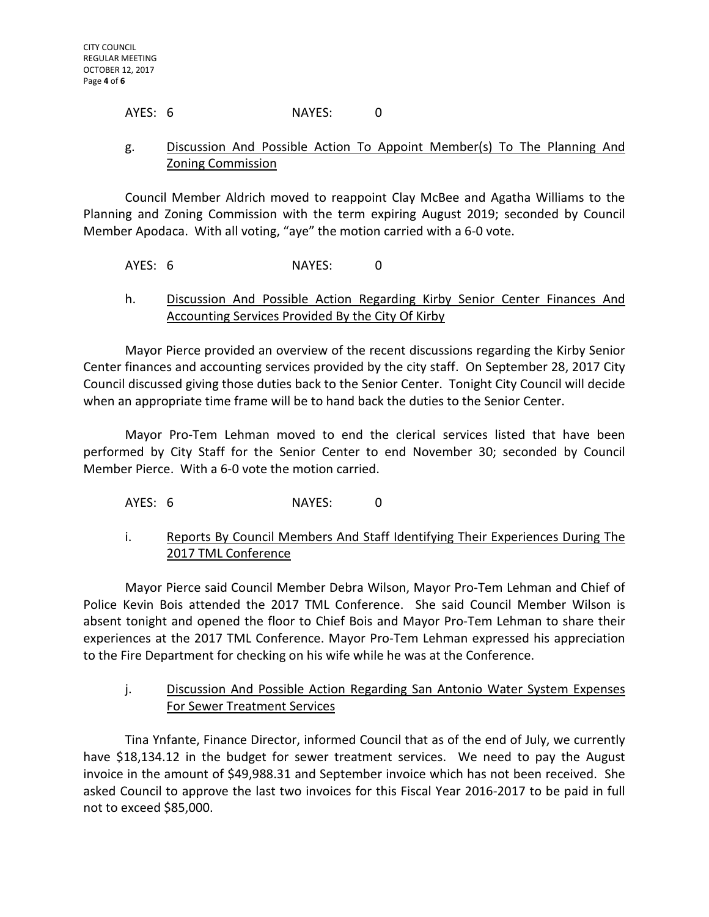# AYES: 6 NAYES: 0

# g. Discussion And Possible Action To Appoint Member(s) To The Planning And Zoning Commission

Council Member Aldrich moved to reappoint Clay McBee and Agatha Williams to the Planning and Zoning Commission with the term expiring August 2019; seconded by Council Member Apodaca. With all voting, "aye" the motion carried with a 6-0 vote.

# AYES: 6 NAYES: 0

# h. Discussion And Possible Action Regarding Kirby Senior Center Finances And Accounting Services Provided By the City Of Kirby

Mayor Pierce provided an overview of the recent discussions regarding the Kirby Senior Center finances and accounting services provided by the city staff. On September 28, 2017 City Council discussed giving those duties back to the Senior Center. Tonight City Council will decide when an appropriate time frame will be to hand back the duties to the Senior Center.

Mayor Pro-Tem Lehman moved to end the clerical services listed that have been performed by City Staff for the Senior Center to end November 30; seconded by Council Member Pierce. With a 6-0 vote the motion carried.

# AYES: 6 NAYES: 0

# i. Reports By Council Members And Staff Identifying Their Experiences During The 2017 TML Conference

Mayor Pierce said Council Member Debra Wilson, Mayor Pro-Tem Lehman and Chief of Police Kevin Bois attended the 2017 TML Conference. She said Council Member Wilson is absent tonight and opened the floor to Chief Bois and Mayor Pro-Tem Lehman to share their experiences at the 2017 TML Conference. Mayor Pro-Tem Lehman expressed his appreciation to the Fire Department for checking on his wife while he was at the Conference.

# j. Discussion And Possible Action Regarding San Antonio Water System Expenses For Sewer Treatment Services

Tina Ynfante, Finance Director, informed Council that as of the end of July, we currently have \$18,134.12 in the budget for sewer treatment services. We need to pay the August invoice in the amount of \$49,988.31 and September invoice which has not been received. She asked Council to approve the last two invoices for this Fiscal Year 2016-2017 to be paid in full not to exceed \$85,000.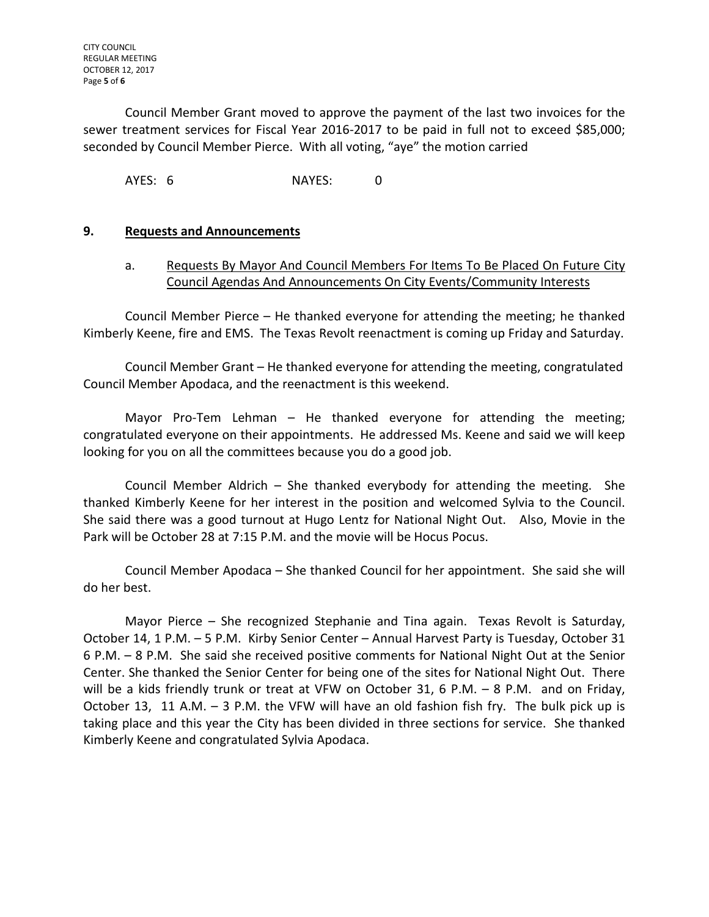Council Member Grant moved to approve the payment of the last two invoices for the sewer treatment services for Fiscal Year 2016-2017 to be paid in full not to exceed \$85,000; seconded by Council Member Pierce. With all voting, "aye" the motion carried

AYES: 6 NAYES: 0

# **9. Requests and Announcements**

# a. Requests By Mayor And Council Members For Items To Be Placed On Future City Council Agendas And Announcements On City Events/Community Interests

Council Member Pierce – He thanked everyone for attending the meeting; he thanked Kimberly Keene, fire and EMS. The Texas Revolt reenactment is coming up Friday and Saturday.

Council Member Grant – He thanked everyone for attending the meeting, congratulated Council Member Apodaca, and the reenactment is this weekend.

Mayor Pro-Tem Lehman – He thanked everyone for attending the meeting; congratulated everyone on their appointments. He addressed Ms. Keene and said we will keep looking for you on all the committees because you do a good job.

Council Member Aldrich – She thanked everybody for attending the meeting. She thanked Kimberly Keene for her interest in the position and welcomed Sylvia to the Council. She said there was a good turnout at Hugo Lentz for National Night Out. Also, Movie in the Park will be October 28 at 7:15 P.M. and the movie will be Hocus Pocus.

Council Member Apodaca – She thanked Council for her appointment. She said she will do her best.

Mayor Pierce – She recognized Stephanie and Tina again. Texas Revolt is Saturday, October 14, 1 P.M. – 5 P.M. Kirby Senior Center – Annual Harvest Party is Tuesday, October 31 6 P.M. – 8 P.M. She said she received positive comments for National Night Out at the Senior Center. She thanked the Senior Center for being one of the sites for National Night Out. There will be a kids friendly trunk or treat at VFW on October 31, 6 P.M. – 8 P.M. and on Friday, October 13, 11 A.M. – 3 P.M. the VFW will have an old fashion fish fry. The bulk pick up is taking place and this year the City has been divided in three sections for service. She thanked Kimberly Keene and congratulated Sylvia Apodaca.